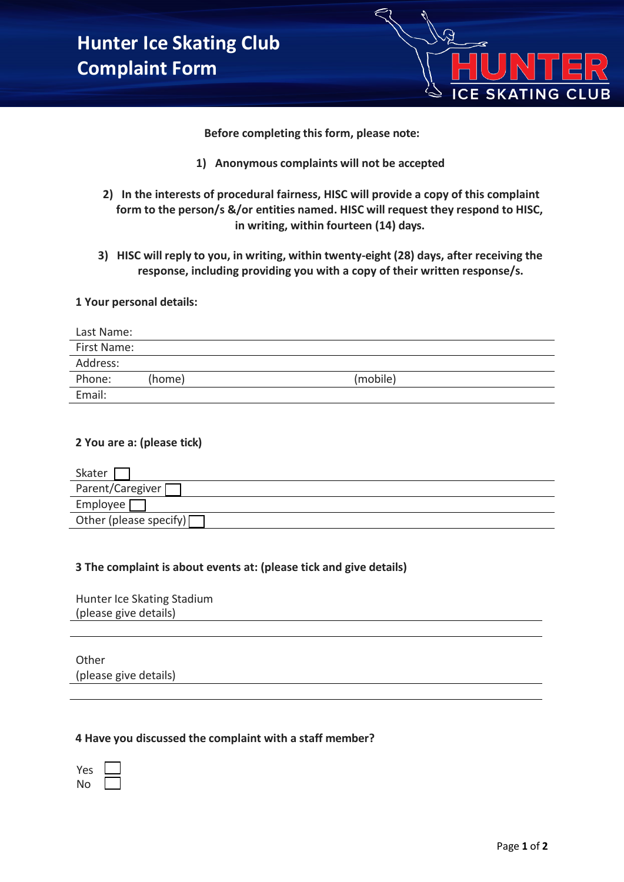

**Before completing this form, please note:**

- **1) Anonymous complaints will not be accepted**
- **2) In the interests of procedural fairness, HISC will provide a copy of this complaint form to the person/s &/or entities named. HISC will request they respond to HISC, in writing, within fourteen (14) days.**
- **3) HISC will reply to you, in writing, within twenty-eight (28) days, after receiving the response, including providing you with a copy of their written response/s.**

### **1 Your personal details:**

| Last Name:  |        |          |
|-------------|--------|----------|
| First Name: |        |          |
| Address:    |        |          |
| Phone:      | (home) | (mobile) |
| Email:      |        |          |

## **2 You are a: (please tick)**

| Skater                   |
|--------------------------|
| Parent/Caregiver         |
| Employee                 |
| Other (please specify) [ |

#### **3 The complaint is about events at: (please tick and give details)**

Hunter Ice Skating Stadium (please give details)

**Other** (please give details)

#### **4 Have you discussed the complaint with a staff member?**